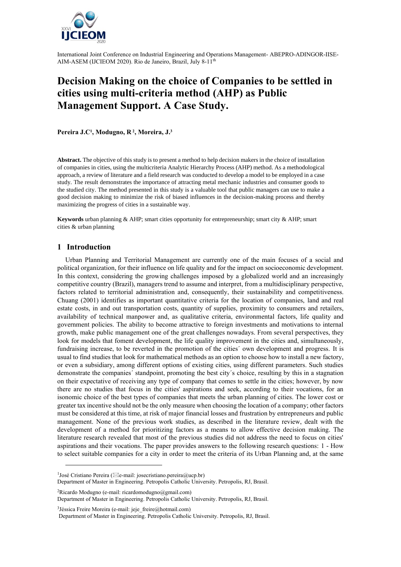

# **Decision Making on the choice of Companies to be settled in cities using multi-criteria method (AHP) as Public Management Support. A Case Study.**

**Pereira J.C<sup>1</sup> , Modugno, R <sup>2</sup> , Moreira, J. 3**

**Abstract.** The objective of this study is to present a method to help decision makers in the choice of installation of companies in cities, using the multicriteria Analytic Hierarchy Process (AHP) method. As a methodological approach, a review of literature and a field research was conducted to develop a model to be employed in a case study. The result demonstrates the importance of attracting metal mechanic industries and consumer goods to the studied city. The method presented in this study is a valuable tool that public managers can use to make a good decision making to minimize the risk of biased influences in the decision-making process and thereby maximizing the progress of cities in a sustainable way.

**Keywords** urban planning & AHP; smart cities opportunity for entrepreneurship; smart city & AHP; smart cities & urban planning

#### **1 Introduction**

Urban Planning and Territorial Management are currently one of the main focuses of a social and political organization, for their influence on life quality and for the impact on socioeconomic development. In this context, considering the growing challenges imposed by a globalized world and an increasingly competitive country (Brazil), managers trend to assume and interpret, from a multidisciplinary perspective, factors related to territorial administration and, consequently, their sustainability and competitiveness. Chuang (2001) identifies as important quantitative criteria for the location of companies, land and real estate costs, in and out transportation costs, quantity of supplies, proximity to consumers and retailers, availability of technical manpower and, as qualitative criteria, environmental factors, life quality and government policies. The ability to become attractive to foreign investments and motivations to internal growth, make public management one of the great challenges nowadays. From several perspectives, they look for models that foment development, the life quality improvement in the cities and, simultaneously, fundraising increase, to be reverted in the promotion of the cities´ own development and progress. It is usual to find studies that look for mathematical methods as an option to choose how to install a new factory, or even a subsidiary, among different options of existing cities, using different parameters. Such studies demonstrate the companies´ standpoint, promoting the best city´s choice, resulting by this in a stagnation on their expectative of receiving any type of company that comes to settle in the cities; however, by now there are no studies that focus in the cities' aspirations and seek, according to their vocations, for an isonomic choice of the best types of companies that meets the urban planning of cities. The lower cost or greater tax incentive should not be the only measure when choosing the location of a company; other factors must be considered at this time, at risk of major financial losses and frustration by entrepreneurs and public management. None of the previous work studies, as described in the literature review, dealt with the development of a method for prioritizing factors as a means to allow effective decision making. The literature research revealed that most of the previous studies did not address the need to focus on cities' aspirations and their vocations. The paper provides answers to the following research questions: 1 - How to select suitable companies for a city in order to meet the criteria of its Urban Planning and, at the same

<sup>2</sup>Ricardo Modugno (e-mail: ricardomodugno@gmail.com)

<sup>3</sup>Jéssica Freire Moreira (e-mail: jeje freire@hotmail.com)

<sup>&</sup>lt;sup>1</sup>José Cristiano Pereira ( $\boxtimes$ e-mail: josecristiano.pereira@ucp.br)

Department of Master in Engineering. Petropolis Catholic University. Petropolis, RJ, Brasil.

Department of Master in Engineering. Petropolis Catholic University. Petropolis, RJ, Brasil.

Department of Master in Engineering. Petropolis Catholic University. Petropolis, RJ, Brasil.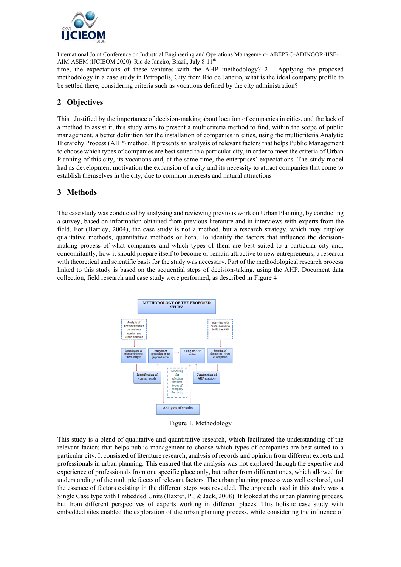

time, the expectations of these ventures with the AHP methodology? 2 - Applying the proposed methodology in a case study in Petropolis, City from Rio de Janeiro, what is the ideal company profile to be settled there, considering criteria such as vocations defined by the city administration?

## **2 Objectives**

This. Justified by the importance of decision-making about location of companies in cities, and the lack of a method to assist it, this study aims to present a multicriteria method to find, within the scope of public management, a better definition for the installation of companies in cities, using the multicriteria Analytic Hierarchy Process (AHP) method. It presents an analysis of relevant factors that helps Public Management to choose which types of companies are best suited to a particular city, in order to meet the criteria of Urban Planning of this city, its vocations and, at the same time, the enterprises´ expectations. The study model had as development motivation the expansion of a city and its necessity to attract companies that come to establish themselves in the city, due to common interests and natural attractions

## **3 Methods**

The case study was conducted by analysing and reviewing previous work on Urban Planning, by conducting a survey, based on information obtained from previous literature and in interviews with experts from the field. For (Hartley, 2004), the case study is not a method, but a research strategy, which may employ qualitative methods, quantitative methods or both. To identify the factors that influence the decisionmaking process of what companies and which types of them are best suited to a particular city and, concomitantly, how it should prepare itself to become or remain attractive to new entrepreneurs, a research with theoretical and scientific basis for the study was necessary. Part of the methodological research process linked to this study is based on the sequential steps of decision-taking, using the AHP. Document data collection, field research and case study were performed, as described in Figure 4



Figure 1. Methodology

This study is a blend of qualitative and quantitative research, which facilitated the understanding of the relevant factors that helps public management to choose which types of companies are best suited to a particular city. It consisted of literature research, analysis of records and opinion from different experts and professionals in urban planning. This ensured that the analysis was not explored through the expertise and experience of professionals from one specific place only, but rather from different ones, which allowed for understanding of the multiple facets of relevant factors. The urban planning process was well explored, and the essence of factors existing in the different steps was revealed. The approach used in this study was a Single Case type with Embedded Units (Baxter, P., & Jack, 2008). It looked at the urban planning process, but from different perspectives of experts working in different places. This holistic case study with embedded sites enabled the exploration of the urban planning process, while considering the influence of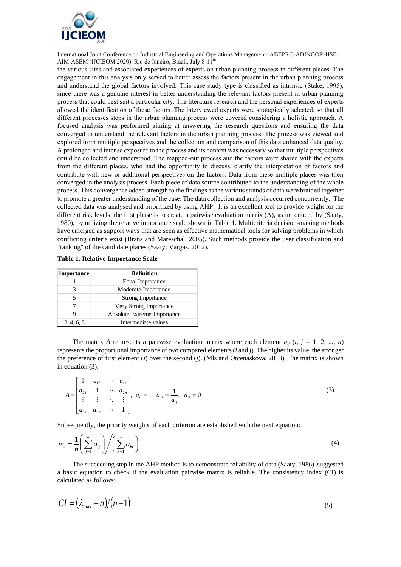

the various sites and associated experiences of experts on urban planning process in different places. The engagement in this analysis only served to better assess the factors present in the urban planning process and understand the global factors involved. This case study type is classified as intrinsic (Stake, 1995), since there was a genuine interest in better understanding the relevant factors present in urban planning process that could best suit a particular city. The literature research and the personal experiences of experts allowed the identification of these factors. The interviewed experts were strategically selected, so that all different processes steps in the urban planning process were covered considering a holistic approach. A focused analysis was performed aiming at answering the research questions and ensuring the data converged to understand the relevant factors in the urban planning process. The process was viewed and explored from multiple perspectives and the collection and comparison of this data enhanced data quality. A prolonged and intense exposure to the process and its context was necessary so that multiple perspectives could be collected and understood. The mapped-out process and the factors were shared with the experts from the different places, who had the opportunity to discuss, clarify the interpretation of factors and contribute with new or additional perspectives on the factors. Data from these multiple places was then converged in the analysis process. Each piece of data source contributed to the understanding of the whole process. This convergence added strength to the findings as the various strands of data were braided together to promote a greater understanding of the case. The data collection and analysis occurred concurrently. The collected data was analysed and prioritized by using AHP. It is an excellent tool to provide weight for the different risk levels, the first phase is to create a pairwise evaluation matrix (A), as introduced by (Saaty, 1980), by utilizing the relative importance scale shown in Table 1. Multicriteria decision-making methods have emerged as support ways that are seen as effective mathematical tools for solving problems in which conflicting criteria exist (Brans and Mareschal, 2005). Such methods provide the user classification and "ranking" of the candidate places (Saaty; Vargas, 2012).

| <b>Importance</b> | <b>Definition</b>           |
|-------------------|-----------------------------|
|                   | Equal Importance            |
|                   | Moderate Importance         |
|                   | <b>Strong Importance</b>    |
|                   | Very Strong Importance      |
|                   | Absolute Extreme Importance |
| 2, 4, 6, 8        | Intermediate values         |

**Table 1. Relative Importance Scale**

The matrix *A* represents a pairwise evaluation matrix where each element  $a_{ij}$  (*i, j* = 1*,* 2*, ..., n*) represents the proportional importance of two compared elements (*i* and *j*). The higher its value, the stronger the preference of first element (*i*) over the second (*j*). (Mls and Otcenaskova, 2013). The matrix is shown in equation (3).

$$
A = \begin{bmatrix} 1 & a_{12} & \cdots & a_{1n} \\ a_{21} & 1 & \cdots & a_{2n} \\ \vdots & \vdots & \ddots & \vdots \\ a_{n1} & a_{n2} & \cdots & 1 \end{bmatrix}, a_{ii} = 1, a_{ji} = \frac{1}{a_{ij}}, a_{ij} \neq 0
$$
 (3)

Subsequently, the priority weights of each criterion are established with the next equation:

$$
w_i = \frac{1}{n} \left( \sum_{j=1}^n a_{ij} \right) \Bigg/ \left( \sum_{k=1}^n a_{kj} \right) \tag{4}
$$

The succeeding step in the AHP method is to demonstrate reliability of data (Saaty, 1986). suggested a basic equation to check if the evaluation pairwise matrix is reliable. The consistency index (CI) is calculated as follows:

$$
CI = (\lambda_{\text{max}} - n)/(n-1) \tag{5}
$$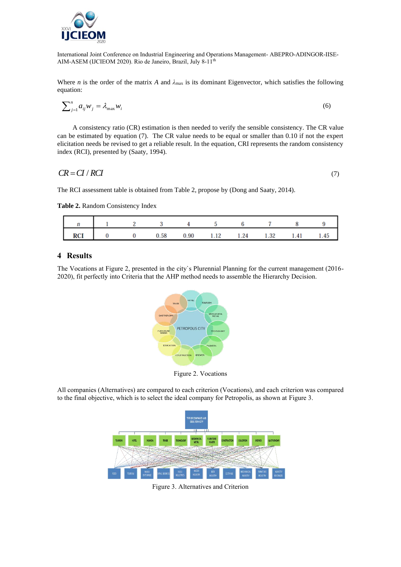

Where *n* is the order of the matrix *A* and  $\lambda_{\text{max}}$  is its dominant Eigenvector, which satisfies the following equation:

$$
\sum_{j=1}^{n} a_{ij} w_j = \lambda_{\max} w_i \tag{6}
$$

A consistency ratio (CR) estimation is then needed to verify the sensible consistency. The CR value can be estimated by equation (7). The CR value needs to be equal or smaller than 0.10 if not the expert elicitation needs be revised to get a reliable result. In the equation, CRI represents the random consistency index (RCI), presented by (Saaty, 1994).

$$
CR = CI / RCI \tag{7}
$$

The RCI assessment table is obtained from Table 2, propose by (Dong and Saaty, 2014).

**Table 2.** Random Consistency Index

| <b>RCI</b><br>Ι. |  | .58 | 0.90 | 1.12 | 1.24 | 1.32 | 1.41 | тu |
|------------------|--|-----|------|------|------|------|------|----|

### **4 Results**

The Vocations at Figure 2, presented in the city`s Plurennial Planning for the current management (2016- 2020), fit perfectly into Criteria that the AHP method needs to assemble the Hierarchy Decision.



Figure 2. Vocations

All companies (Alternatives) are compared to each criterion (Vocations), and each criterion was compared to the final objective, which is to select the ideal company for Petropolis, as shown at Figure 3.



Figure 3. Alternatives and Criterion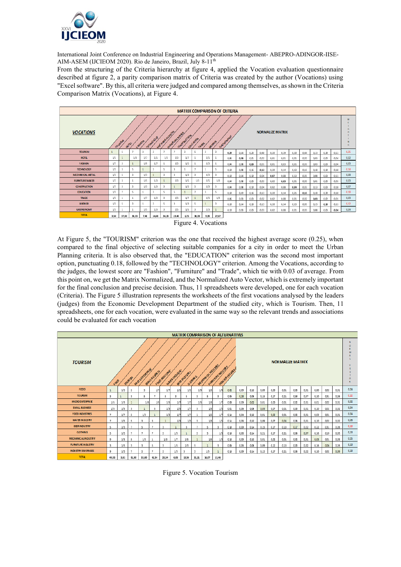

From the structuring of the Criteria hierarchy at figure 4, applied the Vocation evaluation questionnaire described at figure 2, a parity comparison matrix of Criteria was created by the author (Vocations) using "Excel software". By this, all criteria were judged and compared among themselves, as shown in the Criteria Comparison Matrix (Vocations), at Figure 4.

| <b>MATRIX COMPARISON OF CRITERIA</b> |                                                                                                                                                                                                  |       |                |      |       |       |                |      |                |      |       |      |      |      |      |      |      |      |      |      |      |      |      |
|--------------------------------------|--------------------------------------------------------------------------------------------------------------------------------------------------------------------------------------------------|-------|----------------|------|-------|-------|----------------|------|----------------|------|-------|------|------|------|------|------|------|------|------|------|------|------|------|
| <b>VOCATIONS</b>                     | <b>NORMALIZE MATRIX</b><br>ME HAWK ALMCAL<br>EURNALINE MARKE<br><b>CONSTRUCTION</b><br>GSTRONDAY<br>TECHNOLOG<br>EQUENTON<br><b>TOURS!A</b><br>FISHON<br><b>OR CHIEF</b><br>pret<br><b>TRADE</b> |       |                |      |       |       |                |      |                |      |       |      |      |      |      |      |      |      |      |      |      |      |      |
| <b>TO URISM</b>                      |                                                                                                                                                                                                  | 5     |                | 3    | 3     |       | z,             | 3    | 5              | 3    |       | 0.29 | 0.14 | 0.23 | 0.40 | 0.20 | 0.19 | 0.30 | 0.44 | Q13  | 0.30 | 0.11 | 0.25 |
| <b>HOTEL</b>                         | 1/5                                                                                                                                                                                              |       | 1/3            | 1/7  | 1/5   | 1/3   | 1/3            | 1/7  |                | 1/5  |       | 0.06 | Q.OB | 0.01 | 0,02 | 0,01 | 0.01 | 0,01 | 0,02 | 0.03 | 0,02 | 0,04 | 0.02 |
| <b>FASHION</b>                       | 1/7                                                                                                                                                                                              | 3     |                | 1/9  | 1/7   |       | 1/3            | 1/5  |                | 1/3  |       | 0.04 | 0.08 | 0,03 | 0.01 | 0,01 | 0.03 | 0,01 | 0.03 | 0.03 | 0.03 | 0.04 | 0.03 |
| <b>TECHNOLOGY</b>                    | 1/3                                                                                                                                                                                              | 3     | 5              |      | 3     |       | 3              | 1    | $\overline{7}$ |      | s     | 0.10 | 0.08 | 0.16 | 0.13 | 0.20 | 0.14 | 0.13 | 0.15 | 0.18 | 0.10 | 0.18 | 0.14 |
| <b>MECHANICAL METAL</b>              | 1/3                                                                                                                                                                                              | 5     | $\overline{3}$ | 1/3  |       |       | 3              | 1/3  | 3              | 1/3  |       | 0.10 | 0.14 | 0.10 | 0.04 | 0.07 | 0.08 | 0.13 | 0.05 | 0.08 | 0.03 | 0.11 | 0.08 |
| <b>FURNITURE MAKER</b>               | 1/7                                                                                                                                                                                              | Q     | 1              | 1/5  | 1/3   |       | 1/3            | 1/5  | 1/3            | 1/5  | 1/3   | 0.04 | 0.08 | 0.03 | 0.03 | 0.02 | 0,03 | 0.01 | 0.03 | 0.01 | 0.02 | 0.01 | 0.03 |
| <b>CONSTRUCTION</b>                  | 1/7                                                                                                                                                                                              | 3     | $\overline{3}$ | 1/3  | 1/3   |       | 1              | 1/5  | 5              | 1/3  |       | 0.04 | 0.08 | 0.10 | 0.04 | 0.02 | 0.08 | 0.04 | 0.03 | 0.13 | 0.08 | 0.18 | 0.07 |
| <b>EDUCATION</b>                     | 1/3                                                                                                                                                                                              | v.    | 5              |      | 3     |       | 5              |      |                | 3    |       | 0.10 | 0.19 | 0.16 | 0.13 | 0.20 | 0.14 | 0.21 | 0.15 | 0.18 | 0.30 | 0.18 | 0.18 |
| <b>TRADE</b>                         | 1/5                                                                                                                                                                                              |       | 1              | 1/7  | 1/3   |       | 1/5            | 1/7  | $\mathbf{1}$   | 1/5  | 1/3   | 0.06 | 0.03 | 0.03 | 0.02 | 0.02 | 0.08 | 0.01 | 0.02 | 0.03 | 0.02 | 0.01 | 0.03 |
| <b>BREWER</b>                        | 1/3                                                                                                                                                                                              | 5     | $\overline{3}$ | 1    | 3     |       | $\overline{A}$ | 1/3  | 5              |      |       | 0.10 | 0.14 | 0.10 | 0.13 | 0.20 | 0.14 | 0.13 | 0.05 | 0.13 | 0.30 | 0.11 | 0.12 |
| <b>GASTRONOMY</b>                    | 1/3                                                                                                                                                                                              |       |                | 1/5  | 1/3   |       | 1/5            | 1/5  | 3              | 1/3  |       | 0.10 | 0.03 | 0.03 | 0.03 | 0.02 | 0.08 | 0.01 | 0.03 | 0.08 | 0.08 | 0.04 | 0.04 |
| <b>TOTAL</b>                         | 3.50                                                                                                                                                                                             | 37.00 | 30.33          | 7.46 | 14.68 | 36.33 | 23.40          | 6.75 | 38.33          | 9.93 | 27.67 |      |      |      |      |      |      |      |      |      |      |      |      |



At Figure 5, the "TOURISM" criterion was the one that received the highest average score (0.25), when compared to the final objective of selecting suitable companies for a city in order to meet the Urban Planning criteria. It is also observed that, the "EDUCATION" criterion was the second most important option, punctuating 0.18, followed by the "TECHNOLOGY" criterion. Among the Vocations, according to the judges, the lowest score are "Fashion", "Furniture" and "Trade", which tie with 0.03 of average. From this point on, we get the Matrix Normalized, and the Normalized Auto Vector, which is extremely important for the final conclusion and precise decision. Thus, 11 spreadsheets were developed, one for each vocation (Criteria). The Figure 5 illustration represents the worksheets of the first vocations analysed by the leaders (judges) from the Economic Development Department of the studied city, which is Tourism. Then, 11 spreadsheets, one for each vocation, were evaluated in the same way so the relevant trends and associations could be evaluated for each vocation

|                           | <b>MATRIX COMPARISON OF ALTERNATIVES</b>                                                                                                                                                                 |      |       |       |       |       |      |       |                         |       |       |                |      |           |      |      |      |                  |      |      |      |      |      |
|---------------------------|----------------------------------------------------------------------------------------------------------------------------------------------------------------------------------------------------------|------|-------|-------|-------|-------|------|-------|-------------------------|-------|-------|----------------|------|-----------|------|------|------|------------------|------|------|------|------|------|
| <b>TOURISM</b>            | <b>NORMALIZE MATRIX</b><br>MECHANGE (WOUSEL<br>Flamfurt Mousey<br><b>HADSAYGERA</b><br>MROOHING REEF<br>WATER HOUSIRE<br>SMU BUSINESS<br>FOOD HOUSTER<br>W. GR. HOUSAY<br>COMMO<br><b>POURISM</b><br>FOR |      |       |       |       |       |      |       |                         |       |       |                |      |           | n    |      |      |                  |      |      |      |      |      |
| <b>FOOD</b>               | 1                                                                                                                                                                                                        | 1/3  | 5     | 3     | 1/7   | 1/7   | 1/5  | 1/5   | 1/9                     | 1/3   | 1/9   | 0 <sup>o</sup> | 0.09 | q 10      | 0.09 | 0,00 | 0,01 | $0,\overline{a}$ | 0,01 | 0,00 | 002  | 0,01 | 0.04 |
| <b>TOURISM</b>            | 3                                                                                                                                                                                                        |      | 3     | 5     | n,    | 5     | 3    | 5     | 3                       | 5     | 3     | 0.06           | 0,28 | 0.06      | 0,15 | 0,17 | 0.21 | 0,50             | 0,37 | 0.10 | 0.31 | 0,26 | 0.22 |
| MICRO ENTERPRISE          | 1/5                                                                                                                                                                                                      | 1/3  | 1     | 1/3   | 1/5   | 1/5   | 1/7  | 1/7   | 1/5                     | 1/3   | 1/7   | αœ             | 0,09 | $a\alpha$ | 0,01 | 0,00 | 0.01 | 0,02             | 0,01 | 0.01 | 002  | 0.01 | 0.02 |
| <b>SMALL BUSINESS</b>     | 1/3                                                                                                                                                                                                      | 1/5  | 3     | ٠     | 3     | 1/3   | 1/5  | 1/7   | 3                       | 1/3   | 1/5   | qœ             | 0,06 | 0.06      | 0,03 | 0, 0 | 0,01 | $0,\overline{a}$ | 0,01 | 0,10 | QOZ  | 0,02 | 0.04 |
| <b>FOOD INDUSTRIES</b>    | $\overline{z}$                                                                                                                                                                                           | 1/7  | 5     | 1/3   |       | 1/3   | 1/7  | 1/7   |                         | 1/5   | 1/7   | 0.34           | 0,04 | αю        | 0.01 | 0.02 | 0.01 | 0.02             | 0.01 | 0,03 | 001  | 0.01 | 0.04 |
| <b>WATER INDUSTRY</b>     | z.                                                                                                                                                                                                       | 1/5  | 5     | 3     | 3     |       | 1/3  | 1/5   | 3                       | 1/3   | 1/5   | 0.34           | 0,06 | 0.XD      | 0,09 | 0,07 | 0,04 | 0.06             | 0,01 | 0.10 | 002  | 0.02 | 0.06 |
| <b>BEER INDUSTRY</b>      | 5                                                                                                                                                                                                        | 1/3  |       | 5     |       | 3     |      | 3     |                         | 5     | 3     | 0.10           | 0,09 | 0,34      | 0.15 | 0,17 | 0,13 | 0.17             | 0,22 | 0.22 | 031  | 0.26 | 0.18 |
| <b>CLOTHING</b>           | 5                                                                                                                                                                                                        | 1/5  | .,    |       |       | 5     | 1/3  |       | 5                       | 3     | 1/3   | 0.30           | 0.06 | 0.34      | 0.21 | 0.17 | 0.21 | 0.06             | 0,07 | 0.16 | 019  | 0.03 | 0.13 |
| <b>MECHANICALINDUSTRY</b> | 9                                                                                                                                                                                                        | 1/3  | 5     | 1/3   |       | 1/3   | 1/7  | 1/5   |                         | 1/5   | 1/3   | 0.35           | 0.09 | 0.30      | 0.01 | 0.02 | 0.01 | 0.02             | 0,01 | 0.03 | 001  | 0.03 | 0,05 |
| <b>FURNITURE INDUSTRY</b> | 3                                                                                                                                                                                                        | 1/5  | 3     | 3     | 5     | 3     | 1/5  | 1/3   | 5                       |       | 3     | 0.06           | 0,06 | 0.06      | 0,09 | 0,12 | 0.13 | 0.08             | 0,02 | 0.16 | 0.06 | 0.26 | 0.10 |
| <b>INDUSTRY BEVERAGES</b> | 9                                                                                                                                                                                                        | 1/3  | п,    | 5     |       | 5     | 1/3  | 3     | $\overline{\mathbf{3}}$ | 1/3   |       | 0.38           | 0,09 | 0,34      | 0.15 | 0,17 | 0.21 | 0,06             | 0,22 | 0,10 | QOZ  | 0,09 | 0.13 |
| <b>TOTAL</b>              | 49,53                                                                                                                                                                                                    | 3,61 | 51.00 | 33,00 | 41.34 | 23.34 | 6.03 | 13.36 | 31.31                   | 16.07 | 11,46 |                |      |           |      |      |      |                  |      |      |      |      |      |

Figure 5. Vocation Tourism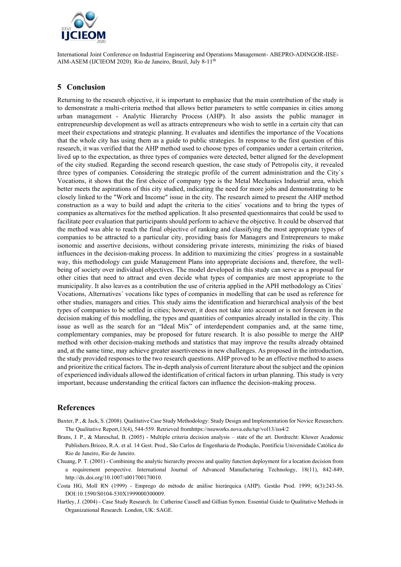

## **5 Conclusion**

Returning to the research objective, it is important to emphasize that the main contribution of the study is to demonstrate a multi-criteria method that allows better parameters to settle companies in cities among urban management - Analytic Hierarchy Process (AHP). It also assists the public manager in entrepreneurship development as well as attracts entrepreneurs who wish to settle in a certain city that can meet their expectations and strategic planning. It evaluates and identifies the importance of the Vocations that the whole city has using them as a guide to public strategies. In response to the first question of this research, it was verified that the AHP method used to choose types of companies under a certain criterion, lived up to the expectation, as three types of companies were detected, better aligned for the development of the city studied. Regarding the second research question, the case study of Petropolis city, it revealed three types of companies. Considering the strategic profile of the current administration and the City`s Vocations, it shows that the first choice of company type is the Metal Mechanics Industrial area, which better meets the aspirations of this city studied, indicating the need for more jobs and demonstrating to be closely linked to the "Work and Income" issue in the city. The research aimed to present the AHP method construction as a way to build and adapt the criteria to the cities` vocations and to bring the types of companies as alternatives for the method application. It also presented questionnaires that could be used to facilitate peer evaluation that participants should perform to achieve the objective. It could be observed that the method was able to reach the final objective of ranking and classifying the most appropriate types of companies to be attracted to a particular city, providing basis for Managers and Entrepreneurs to make isonomic and assertive decisions, without considering private interests, minimizing the risks of biased influences in the decision-making process. In addition to maximizing the cities` progress in a sustainable way, this methodology can guide Management Plans into appropriate decisions and, therefore, the wellbeing of society over individual objectives. The model developed in this study can serve as a proposal for other cities that need to attract and even decide what types of companies are most appropriate to the municipality. It also leaves as a contribution the use of criteria applied in the APH methodology as Cities` Vocations, Alternatives´ vocations like types of companies in modelling that can be used as reference for other studies, managers and cities. This study aims the identification and hierarchical analysis of the best types of companies to be settled in cities; however, it does not take into account or is not foreseen in the decision making of this modelling, the types and quantities of companies already installed in the city. This issue as well as the search for an "Ideal Mix" of interdependent companies and, at the same time, complementary companies, may be proposed for future research. It is also possible to merge the AHP method with other decision-making methods and statistics that may improve the results already obtained and, at the same time, may achieve greater assertiveness in new challenges. As proposed in the introduction, the study provided responses to the two research questions. AHP proved to be an effective method to assess and prioritize the critical factors. The in-depth analysis of current literature about the subject and the opinion of experienced individuals allowed the identification of critical factors in urban planning. This study is very important, because understanding the critical factors can influence the decision-making process.

#### **References**

- Baxter, P., & Jack, S. (2008). Qualitative Case Study Methodology: Study Design and Implementation for Novice Researchers. The Qualitative Report,13(4), 544-559. Retrieved fromhttps://nsuworks.nova.edu/tqr/vol13/iss4/2
- Brans, J. P., & Mareschal, B. (2005) Multiple criteria decision analysis state of the art. Dordrecht: Kluwer Academic Publishers.Briozo, R.A. et al. 14 Gest. Prod., São Carlos de Engenharia de Produção, Pontifícia Universidade Católica do Rio de Janeiro, Rio de Janeiro.
- Chuang, P. T. (2001) Combining the analytic hierarchy process and quality function deployment for a location decision from a requirement perspective. International Journal of Advanced Manufacturing Technology, 18(11), 842-849, http://dx.doi.org/10.1007/s001700170010.
- Costa HG, Moll RN (1999) Emprego do método de análise hierárquica (AHP). Gestão Prod. 1999; 6(3):243-56. DOI:10.1590/S0104-530X1999000300009.
- Hartley, J. (2004) Case Study Research. In: Catherine Cassell and Gillian Symon. Essential Guide to Qualitative Methods in Organizational Research. London, UK: SAGE.